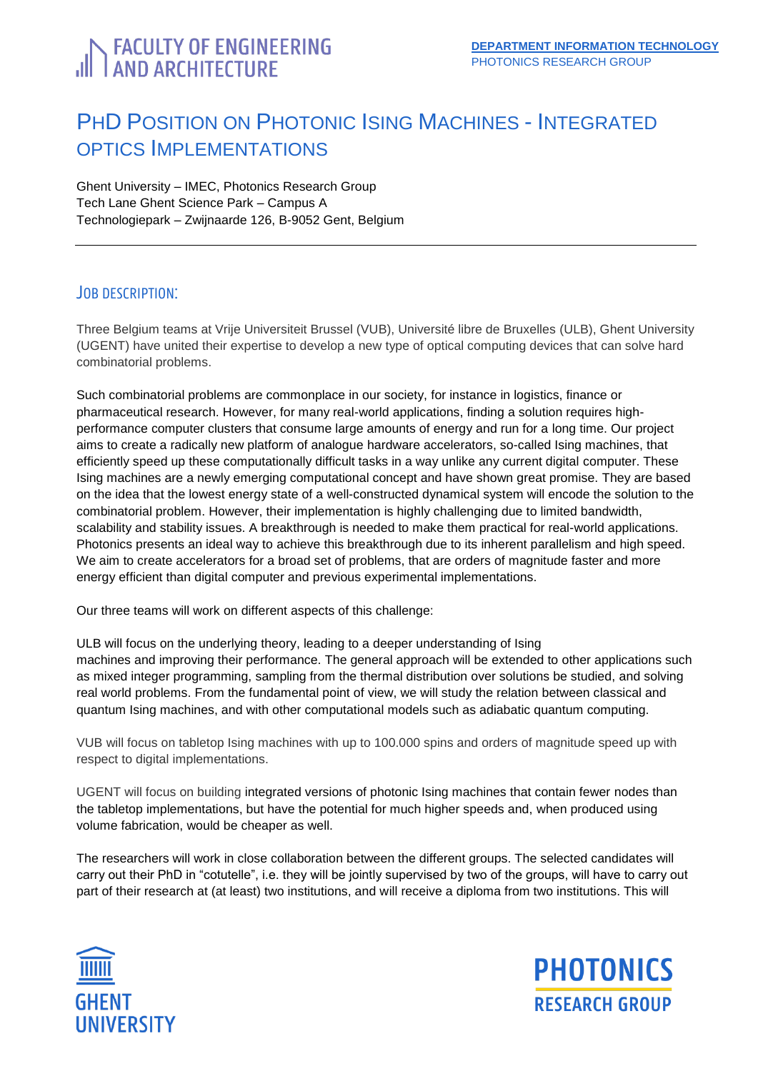# <span id="page-0-0"></span>**FACULTY OF ENGINEERING**<br>AND ARCHITECTURE

# PHD POSITION ON PHOTONIC ISING MACHINES - INTEGRATED OPTICS IMPLEMENTATIONS

Ghent University – IMEC, Photonics Research Group Tech Lane Ghent Science Park – Campus A Technologiepark – Zwijnaarde 126, B-9052 Gent, Belgium

### JOB DESCRIPTION:

Three Belgium teams at Vrije Universiteit Brussel (VUB), Université libre de Bruxelles (ULB), Ghent University (UGENT) have united their expertise to develop a new type of optical computing devices that can solve hard combinatorial problems.

Such combinatorial problems are commonplace in our society, for instance in logistics, finance or pharmaceutical research. However, for many real-world applications, finding a solution requires highperformance computer clusters that consume large amounts of energy and run for a long time. Our project aims to create a radically new platform of analogue hardware accelerators, so-called Ising machines, that efficiently speed up these computationally difficult tasks in a way unlike any current digital computer. These Ising machines are a newly emerging computational concept and have shown great promise. They are based on the idea that the lowest energy state of a well-constructed dynamical system will encode the solution to the combinatorial problem. However, their implementation is highly challenging due to limited bandwidth, scalability and stability issues. A breakthrough is needed to make them practical for real-world applications. Photonics presents an ideal way to achieve this breakthrough due to its inherent parallelism and high speed. We aim to create accelerators for a broad set of problems, that are orders of magnitude faster and more energy efficient than digital computer and previous experimental implementations.

Our three teams will work on different aspects of this challenge:

ULB will focus on the underlying theory, leading to a deeper understanding of Ising machines and improving their performance. The general approach will be extended to other applications such as mixed integer programming, sampling from the thermal distribution over solutions be studied, and solving real world problems. From the fundamental point of view, we will study the relation between classical and quantum Ising machines, and with other computational models such as adiabatic quantum computing.

VUB will focus on tabletop Ising machines with up to 100.000 spins and orders of magnitude speed up with respect to digital implementations.

UGENT will focus on building integrated versions of photonic Ising machines that contain fewer nodes than the tabletop implementations, but have the potential for much higher speeds and, when produced using volume fabrication, would be cheaper as well.

The researchers will work in close collaboration between the different groups. The selected candidates will carry out their PhD in "cotutelle", i.e. they will be jointly supervised by two of the groups, will have to carry out part of their research at (at least) two institutions, and will receive a diploma from two institutions. This will



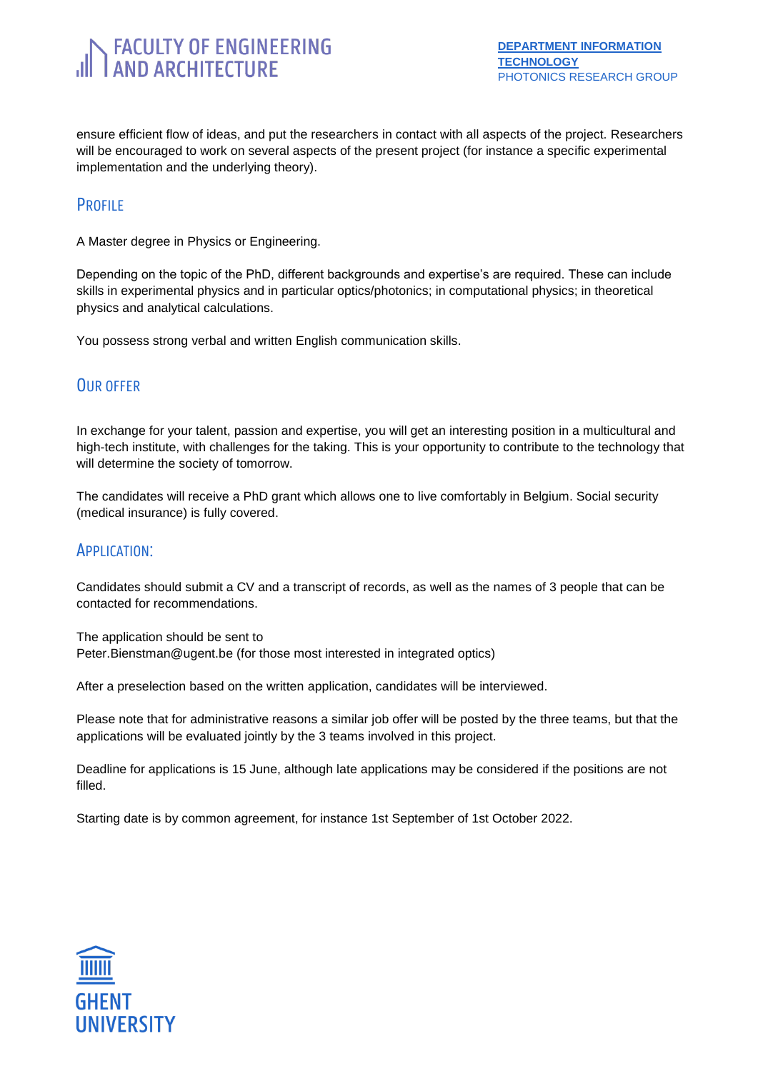# **FACULTY OF ENGINEERING**<br>AND ARCHITECTURE

ensure efficient flow of ideas, and put the researchers in contact with all aspects of the project. Researchers will be encouraged to work on several aspects of the present project (for instance a specific experimental implementation and the underlying theory).

### **PROFILE**

A Master degree in Physics or Engineering.

Depending on the topic of the PhD, different backgrounds and expertise's are required. These can include skills in experimental physics and in particular optics/photonics; in computational physics; in theoretical physics and analytical calculations.

You possess strong verbal and written English communication skills.

### OUR OFFER

In exchange for your talent, passion and expertise, you will get an interesting position in a multicultural and high-tech institute, with challenges for the taking. This is your opportunity to contribute to the technology that will determine the society of tomorrow.

The candidates will receive a PhD grant which allows one to live comfortably in Belgium. Social security (medical insurance) is fully covered.

### APPLICATION:

Candidates should submit a CV and a transcript of records, as well as the names of 3 people that can be contacted for recommendations.

The application should be sent to Peter.Bienstman@ugent.be (for those most interested in integrated optics)

After a preselection based on the written application, candidates will be interviewed.

Please note that for administrative reasons a similar job offer will be posted by the three teams, but that the applications will be evaluated jointly by the 3 teams involved in this project.

Deadline for applications is 15 June, although late applications may be considered if the positions are not filled.

Starting date is by common agreement, for instance 1st September of 1st October 2022.